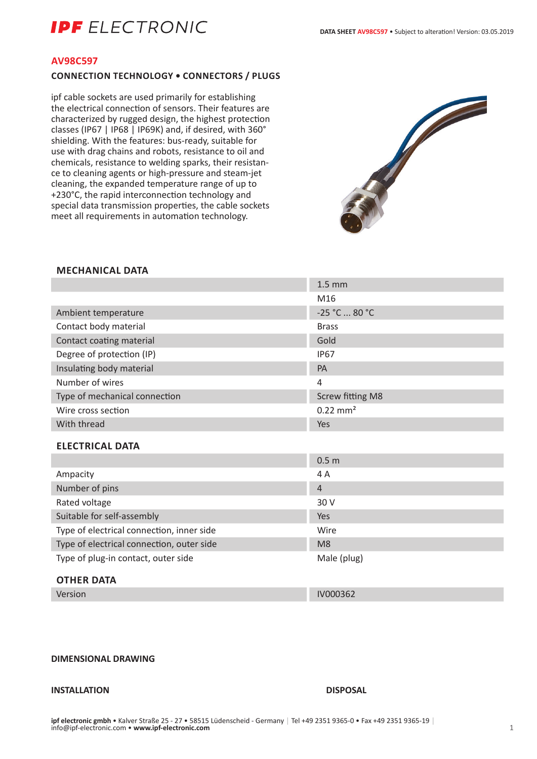### **AV98C597**

## **CONNECTION TECHNOLOGY • CONNECTORS / PLUGS**

ipf cable sockets are used primarily for establishing the electrical connection of sensors. Their features are characterized by rugged design, the highest protection classes (IP67 | IP68 | IP69K) and, if desired, with 360° shielding. With the features: bus-ready, suitable for use with drag chains and robots, resistance to oil and chemicals, resistance to welding sparks, their resistance to cleaning agents or high-pressure and steam-jet cleaning, the expanded temperature range of up to +230°C, the rapid interconnection technology and special data transmission properties, the cable sockets meet all requirements in automation technology.



## **MECHANICAL DATA**

|                                           | $1.5 \text{ mm}$        |
|-------------------------------------------|-------------------------|
|                                           | M16                     |
| Ambient temperature                       | -25 °C  80 °C           |
| Contact body material                     | <b>Brass</b>            |
| Contact coating material                  | Gold                    |
| Degree of protection (IP)                 | <b>IP67</b>             |
| Insulating body material                  | PA                      |
| Number of wires                           | 4                       |
| Type of mechanical connection             | <b>Screw fitting M8</b> |
| Wire cross section                        | $0.22 \text{ mm}^2$     |
| With thread                               | Yes                     |
| <b>ELECTRICAL DATA</b>                    |                         |
|                                           | 0.5 <sub>m</sub>        |
| Ampacity                                  | 4 A                     |
| Number of pins                            | $\overline{4}$          |
| Rated voltage                             | 30 V                    |
| Suitable for self-assembly                | Yes                     |
| Type of electrical connection, inner side | Wire                    |
| Type of electrical connection, outer side | M <sub>8</sub>          |
| Type of plug-in contact, outer side       | Male (plug)             |
| <b>ATUER BATA</b>                         |                         |

# **OTHER DATA**

Version IV000362

# **DIMENSIONAL DRAWING**

# **INSTALLATION DISPOSAL**